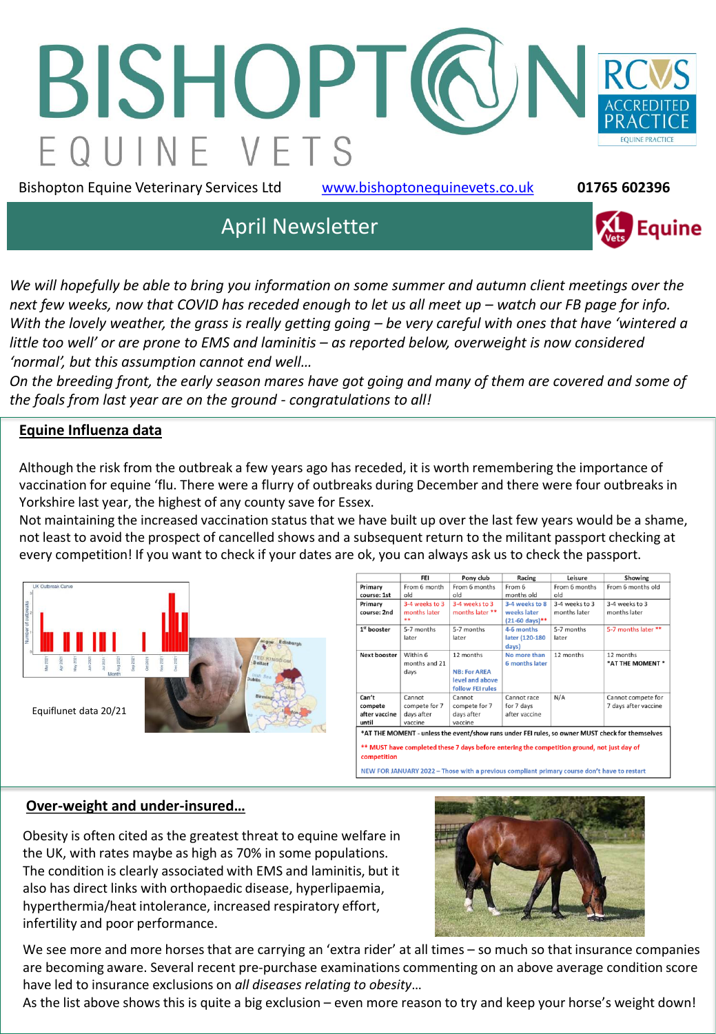

Bishopton Equine Veterinary Services Ltd [www.bishoptonequinevets.co.uk](http://www.bishoptonequinevets.co.uk/) **01765 602396**

**Equine** 

# April Newsletter

*We will hopefully be able to bring you information on some summer and autumn client meetings over the*  next few weeks, now that COVID has receded enough to let us all meet up – watch our FB page for info. *With the lovely weather, the grass is really getting going – be very careful with ones that have 'wintered a little too well' or are prone to EMS and laminitis – as reported below, overweight is now considered 'normal', but this assumption cannot end well…* 

*On the breeding front, the early season mares have got going and many of them are covered and some of the foals from last year are on the ground - congratulations to all!*

#### **Equine Influenza data**

Although the risk from the outbreak a few years ago has receded, it is worth remembering the importance of vaccination for equine 'flu. There were a flurry of outbreaks during December and there were four outbreaks in Yorkshire last year, the highest of any county save for Essex.

Not maintaining the increased vaccination status that we have built up over the last few years would be a shame, not least to avoid the prospect of cancelled shows and a subsequent return to the militant passport checking at every competition! If you want to check if your dates are ok, you can always ask us to check the passport.



|                                                                                                            | FEI            | Pony club           | Racing                    | Leisure        | Showing              |
|------------------------------------------------------------------------------------------------------------|----------------|---------------------|---------------------------|----------------|----------------------|
| Primary                                                                                                    | From 6 month   | From 6 months       | From 6                    | From 6 months  | From 6 months old    |
| course: 1st                                                                                                | old            | old                 | months old                | old            |                      |
| Primary                                                                                                    | 3-4 weeks to 3 | 3-4 weeks to 3      | 3-4 weeks to 8            | 3-4 weeks to 3 | 3-4 weeks to 3       |
| course: 2nd                                                                                                | months later   | months later **     | weeks later               | months later   | months later         |
|                                                                                                            |                |                     | $(21-60 \text{ days})$ ** |                |                      |
| 1 <sup>st</sup> booster                                                                                    | 5-7 months     | 5-7 months          | 4-6 months                | 5-7 months     | 5-7 months later **  |
|                                                                                                            | later          | later               | later (120-180            | later          |                      |
|                                                                                                            |                |                     | days)                     |                |                      |
| Next booster                                                                                               | Within 6       | 12 months           | No more than              | 12 months      | 12 months            |
|                                                                                                            | months and 21  |                     | 6 months later            |                | *AT THE MOMENT *     |
|                                                                                                            | days           | <b>NB: For AREA</b> |                           |                |                      |
|                                                                                                            |                | level and above     |                           |                |                      |
|                                                                                                            |                | follow FEI rules    |                           |                |                      |
| Can't                                                                                                      | Cannot         | Cannot              | Cannot race               | N/A            | Cannot compete for   |
| compete                                                                                                    | compete for 7  | compete for 7       | for 7 days                |                | 7 days after vaccine |
| after vaccine                                                                                              | days after     | days after          | after vaccine             |                |                      |
| until                                                                                                      | vaccine        | vaccine             |                           |                |                      |
| *AT THE MOMENT - unless the event/show runs under FEI rules, so owner MUST check for themselves            |                |                     |                           |                |                      |
| ** MUST have completed these 7 days before entering the competition ground, not just day of<br>competition |                |                     |                           |                |                      |

**NEW FOR JANUARY 2022 - Those** 

#### **Over-weight and under-insured…**

Obesity is often cited as the greatest threat to equine welfare in the UK, with rates maybe as high as 70% in some populations. The condition is clearly associated with EMS and laminitis, but it also has direct links with orthopaedic disease, hyperlipaemia, hyperthermia/heat intolerance, increased respiratory effort, infertility and poor performance.



We see more and more horses that are carrying an 'extra rider' at all times – so much so that insurance companies are becoming aware. Several recent pre-purchase examinations commenting on an above average condition score have led to insurance exclusions on *all diseases relating to obesity*…

As the list above shows this is quite a big exclusion – even more reason to try and keep your horse's weight down!